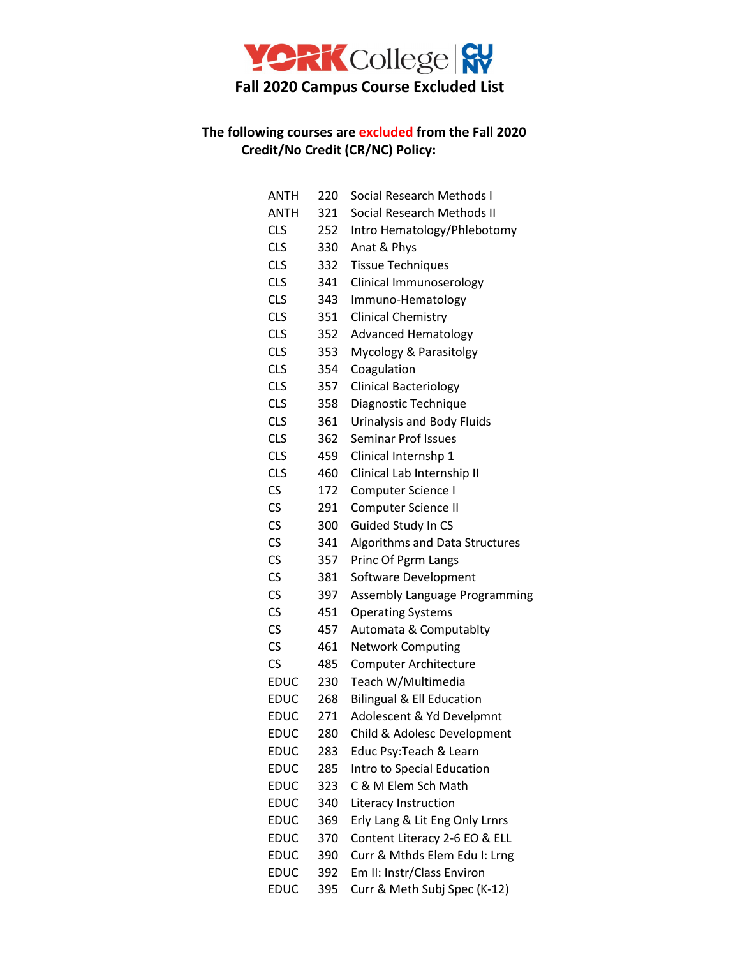

## **The following courses are excluded from the Fall 2020 Credit/No Credit (CR/NC) Policy:**

| ANTH        | 220 | Social Research Methods I            |
|-------------|-----|--------------------------------------|
| ANTH        | 321 | Social Research Methods II           |
| <b>CLS</b>  | 252 | Intro Hematology/Phlebotomy          |
| <b>CLS</b>  | 330 | Anat & Phys                          |
| <b>CLS</b>  | 332 | <b>Tissue Techniques</b>             |
| <b>CLS</b>  | 341 | Clinical Immunoserology              |
| <b>CLS</b>  | 343 | Immuno-Hematology                    |
| <b>CLS</b>  | 351 | <b>Clinical Chemistry</b>            |
| <b>CLS</b>  | 352 | <b>Advanced Hematology</b>           |
| <b>CLS</b>  | 353 | Mycology & Parasitolgy               |
| <b>CLS</b>  | 354 | Coagulation                          |
| <b>CLS</b>  | 357 | <b>Clinical Bacteriology</b>         |
| <b>CLS</b>  | 358 | Diagnostic Technique                 |
| <b>CLS</b>  | 361 | Urinalysis and Body Fluids           |
| <b>CLS</b>  | 362 | <b>Seminar Prof Issues</b>           |
| <b>CLS</b>  | 459 | Clinical Internshp 1                 |
| <b>CLS</b>  | 460 | Clinical Lab Internship II           |
| <b>CS</b>   | 172 | Computer Science I                   |
| CS          | 291 | Computer Science II                  |
| CS          | 300 | Guided Study In CS                   |
| CS          | 341 | Algorithms and Data Structures       |
| CS          | 357 | Princ Of Pgrm Langs                  |
| CS          | 381 | Software Development                 |
| CS          | 397 | Assembly Language Programming        |
| CS          | 451 | <b>Operating Systems</b>             |
| CS          | 457 | Automata & Computablty               |
| CS          | 461 | <b>Network Computing</b>             |
| CS          | 485 | <b>Computer Architecture</b>         |
| <b>EDUC</b> | 230 | Teach W/Multimedia                   |
| <b>EDUC</b> | 268 | <b>Bilingual &amp; Ell Education</b> |
| <b>EDUC</b> | 271 | Adolescent & Yd Develpmnt            |
| <b>EDUC</b> | 280 | Child & Adolesc Development          |
| <b>EDUC</b> | 283 | Educ Psy: Teach & Learn              |
| <b>EDUC</b> | 285 | Intro to Special Education           |
| <b>EDUC</b> | 323 | C & M Elem Sch Math                  |
| <b>EDUC</b> | 340 | Literacy Instruction                 |
| <b>EDUC</b> | 369 | Erly Lang & Lit Eng Only Lrnrs       |
| <b>EDUC</b> | 370 | Content Literacy 2-6 EO & ELL        |
| <b>EDUC</b> | 390 | Curr & Mthds Elem Edu I: Lrng        |
| <b>EDUC</b> | 392 | Em II: Instr/Class Environ           |
| <b>EDUC</b> | 395 | Curr & Meth Subj Spec (K-12)         |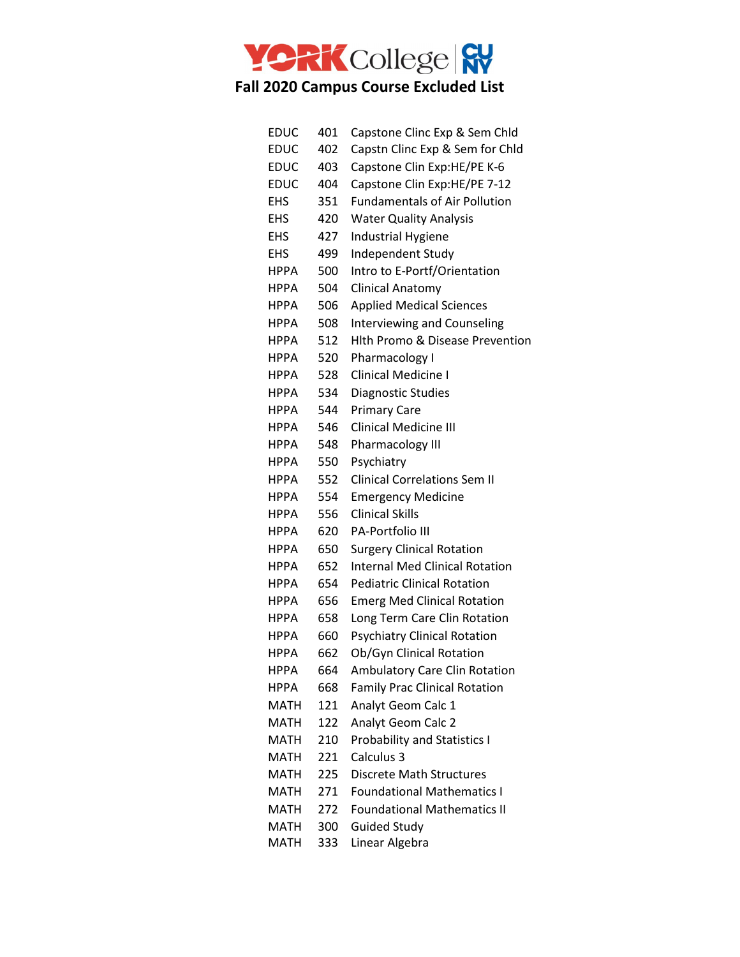

| <b>EDUC</b> | 401 | Capstone Clinc Exp & Sem Chld              |
|-------------|-----|--------------------------------------------|
| <b>EDUC</b> | 402 | Capstn Clinc Exp & Sem for Chld            |
| <b>EDUC</b> | 403 | Capstone Clin Exp:HE/PE K-6                |
| <b>EDUC</b> | 404 | Capstone Clin Exp:HE/PE 7-12               |
| <b>EHS</b>  | 351 | <b>Fundamentals of Air Pollution</b>       |
| <b>EHS</b>  | 420 | <b>Water Quality Analysis</b>              |
| <b>EHS</b>  | 427 | <b>Industrial Hygiene</b>                  |
| <b>EHS</b>  | 499 | Independent Study                          |
| <b>HPPA</b> | 500 | Intro to E-Portf/Orientation               |
| HPPA        | 504 | <b>Clinical Anatomy</b>                    |
| <b>HPPA</b> | 506 | <b>Applied Medical Sciences</b>            |
| <b>HPPA</b> | 508 | <b>Interviewing and Counseling</b>         |
| <b>HPPA</b> | 512 | <b>Hith Promo &amp; Disease Prevention</b> |
| <b>HPPA</b> | 520 | Pharmacology I                             |
| <b>HPPA</b> | 528 | <b>Clinical Medicine I</b>                 |
| <b>HPPA</b> | 534 | Diagnostic Studies                         |
| <b>HPPA</b> | 544 | <b>Primary Care</b>                        |
| <b>HPPA</b> | 546 | <b>Clinical Medicine III</b>               |
| <b>HPPA</b> | 548 | Pharmacology III                           |
| <b>HPPA</b> | 550 | Psychiatry                                 |
| <b>HPPA</b> | 552 | <b>Clinical Correlations Sem II</b>        |
| <b>HPPA</b> | 554 | <b>Emergency Medicine</b>                  |
| <b>HPPA</b> | 556 | <b>Clinical Skills</b>                     |
| <b>HPPA</b> | 620 | <b>PA-Portfolio III</b>                    |
| <b>HPPA</b> | 650 | <b>Surgery Clinical Rotation</b>           |
| <b>HPPA</b> | 652 | <b>Internal Med Clinical Rotation</b>      |
| <b>HPPA</b> | 654 | <b>Pediatric Clinical Rotation</b>         |
| <b>HPPA</b> | 656 | <b>Emerg Med Clinical Rotation</b>         |
| <b>HPPA</b> | 658 | Long Term Care Clin Rotation               |
| HPPA        | 660 | <b>Psychiatry Clinical Rotation</b>        |
| <b>HPPA</b> | 662 | Ob/Gyn Clinical Rotation                   |
| <b>HPPA</b> | 664 | Ambulatory Care Clin Rotation              |
| <b>HPPA</b> | 668 | <b>Family Prac Clinical Rotation</b>       |
| <b>MATH</b> | 121 | Analyt Geom Calc 1                         |
| <b>MATH</b> | 122 | Analyt Geom Calc 2                         |
| <b>MATH</b> | 210 | <b>Probability and Statistics I</b>        |
| <b>MATH</b> | 221 | Calculus 3                                 |
| <b>MATH</b> | 225 | <b>Discrete Math Structures</b>            |
| MATH        | 271 | <b>Foundational Mathematics I</b>          |
| MATH        | 272 | <b>Foundational Mathematics II</b>         |
| <b>MATH</b> | 300 | <b>Guided Study</b>                        |
| <b>MATH</b> | 333 | Linear Algebra                             |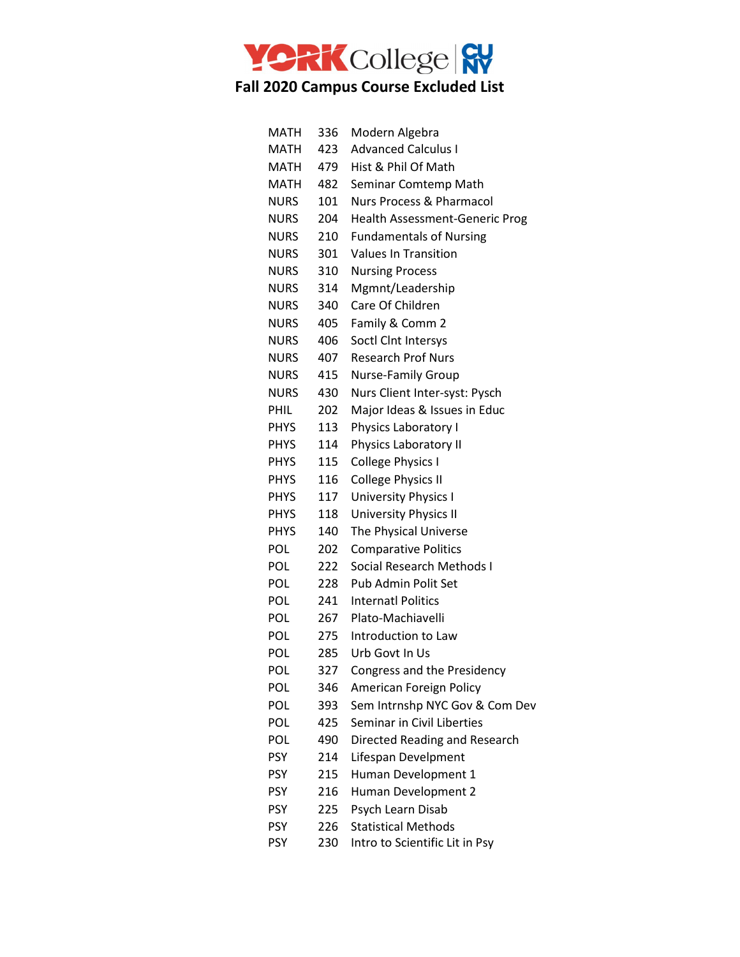

| <b>MATH</b> | 336  | Modern Algebra                        |
|-------------|------|---------------------------------------|
| MATH        | 423  | <b>Advanced Calculus I</b>            |
| MATH        | 479  | Hist & Phil Of Math                   |
| MATH        | 482  | Seminar Comtemp Math                  |
| <b>NURS</b> | 101  | Nurs Process & Pharmacol              |
| <b>NURS</b> | 204  | <b>Health Assessment-Generic Prog</b> |
| <b>NURS</b> | 210  | <b>Fundamentals of Nursing</b>        |
| <b>NURS</b> | 301  | <b>Values In Transition</b>           |
| <b>NURS</b> | 310  | <b>Nursing Process</b>                |
| <b>NURS</b> | 314  | Mgmnt/Leadership                      |
| <b>NURS</b> | 340  | Care Of Children                      |
| <b>NURS</b> | 405  | Family & Comm 2                       |
| <b>NURS</b> | 406  | Soctl Clnt Intersys                   |
| <b>NURS</b> | 407  | <b>Research Prof Nurs</b>             |
| <b>NURS</b> | 415  | Nurse-Family Group                    |
| <b>NURS</b> | 430. | Nurs Client Inter-syst: Pysch         |
| PHIL        | 202  | Major Ideas & Issues in Educ          |
| <b>PHYS</b> | 113  | Physics Laboratory I                  |
| <b>PHYS</b> | 114  | Physics Laboratory II                 |
| <b>PHYS</b> | 115  | <b>College Physics I</b>              |
| <b>PHYS</b> | 116  | <b>College Physics II</b>             |
| <b>PHYS</b> | 117  | University Physics I                  |
| <b>PHYS</b> | 118  | <b>University Physics II</b>          |
| <b>PHYS</b> | 140  | The Physical Universe                 |
| <b>POL</b>  | 202  | <b>Comparative Politics</b>           |
| POL         | 222  | Social Research Methods I             |
| <b>POL</b>  | 228  | Pub Admin Polit Set                   |
| <b>POL</b>  | 241  | <b>Internatl Politics</b>             |
| POL         | 267  | Plato-Machiavelli                     |
| POL         | 275  | Introduction to Law                   |
| POL         | 285  | Urb Govt In Us                        |
| POL         | 327  | Congress and the Presidency           |
| <b>POL</b>  | 346  | American Foreign Policy               |
| POL         | 393  | Sem Intrnshp NYC Gov & Com Dev        |
| <b>POL</b>  | 425  | Seminar in Civil Liberties            |
| POL         | 490  | Directed Reading and Research         |
| <b>PSY</b>  | 214  | Lifespan Develpment                   |
| <b>PSY</b>  | 215  | Human Development 1                   |
| <b>PSY</b>  | 216  | Human Development 2                   |
| <b>PSY</b>  | 225  | Psych Learn Disab                     |
| <b>PSY</b>  | 226  | <b>Statistical Methods</b>            |
| PSY         | 230  | Intro to Scientific Lit in Psy        |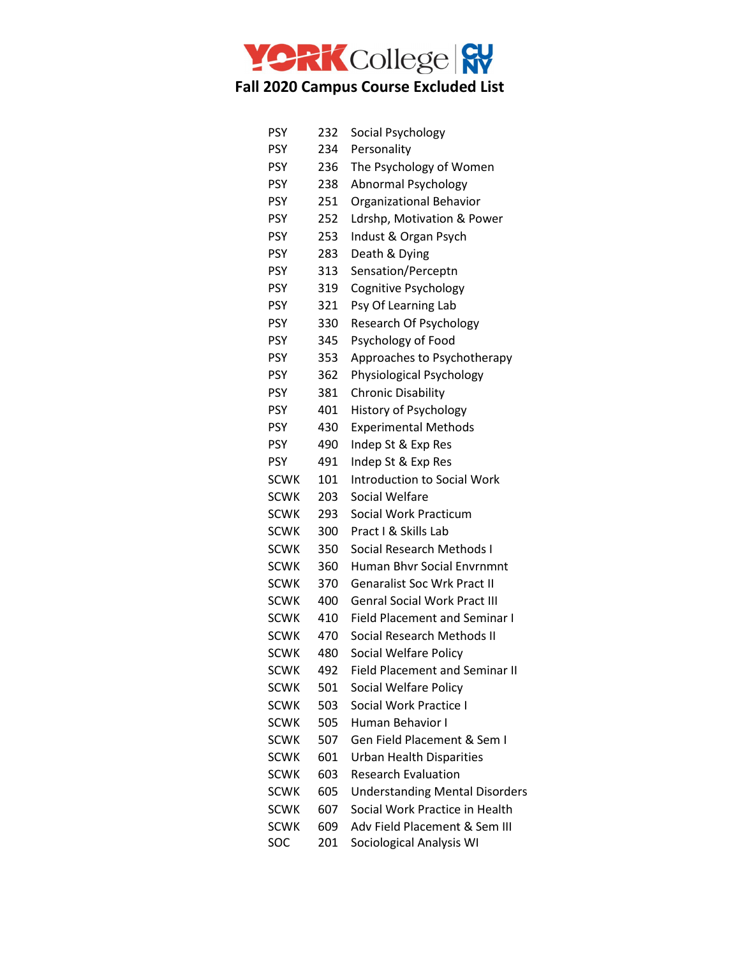

| <b>PSY</b>  | 232 | Social Psychology                     |
|-------------|-----|---------------------------------------|
| <b>PSY</b>  | 234 | Personality                           |
| <b>PSY</b>  | 236 | The Psychology of Women               |
| <b>PSY</b>  | 238 | Abnormal Psychology                   |
| <b>PSY</b>  | 251 | Organizational Behavior               |
| <b>PSY</b>  | 252 | Ldrshp, Motivation & Power            |
| <b>PSY</b>  | 253 | Indust & Organ Psych                  |
| <b>PSY</b>  | 283 | Death & Dying                         |
| <b>PSY</b>  | 313 | Sensation/Perceptn                    |
| <b>PSY</b>  | 319 | Cognitive Psychology                  |
| <b>PSY</b>  | 321 | Psy Of Learning Lab                   |
| <b>PSY</b>  | 330 | Research Of Psychology                |
| <b>PSY</b>  | 345 | Psychology of Food                    |
| <b>PSY</b>  | 353 | Approaches to Psychotherapy           |
| <b>PSY</b>  | 362 | Physiological Psychology              |
| <b>PSY</b>  | 381 | <b>Chronic Disability</b>             |
| <b>PSY</b>  | 401 | History of Psychology                 |
| <b>PSY</b>  | 430 | <b>Experimental Methods</b>           |
| <b>PSY</b>  | 490 | Indep St & Exp Res                    |
| <b>PSY</b>  | 491 | Indep St & Exp Res                    |
| SCWK        | 101 | <b>Introduction to Social Work</b>    |
| <b>SCWK</b> | 203 | Social Welfare                        |
| <b>SCWK</b> | 293 | Social Work Practicum                 |
| <b>SCWK</b> | 300 | Pract I & Skills Lab                  |
| <b>SCWK</b> | 350 | Social Research Methods I             |
| <b>SCWK</b> | 360 | <b>Human Bhvr Social Envrnmnt</b>     |
| <b>SCWK</b> | 370 | <b>Genaralist Soc Wrk Pract II</b>    |
| <b>SCWK</b> | 400 | <b>Genral Social Work Pract III</b>   |
| <b>SCWK</b> | 410 | <b>Field Placement and Seminar I</b>  |
| <b>SCWK</b> | 470 | Social Research Methods II            |
| <b>SCWK</b> | 480 | Social Welfare Policy                 |
| <b>SCWK</b> | 492 | <b>Field Placement and Seminar II</b> |
| <b>SCWK</b> | 501 | Social Welfare Policy                 |
| <b>SCWK</b> | 503 | Social Work Practice I                |
| <b>SCWK</b> | 505 | Human Behavior I                      |
| <b>SCWK</b> | 507 | Gen Field Placement & Sem I           |
| <b>SCWK</b> | 601 | <b>Urban Health Disparities</b>       |
| <b>SCWK</b> | 603 | <b>Research Evaluation</b>            |
| SCWK        | 605 | <b>Understanding Mental Disorders</b> |
| <b>SCWK</b> | 607 | Social Work Practice in Health        |
| <b>SCWK</b> | 609 | Adv Field Placement & Sem III         |
| SOC         | 201 | Sociological Analysis WI              |